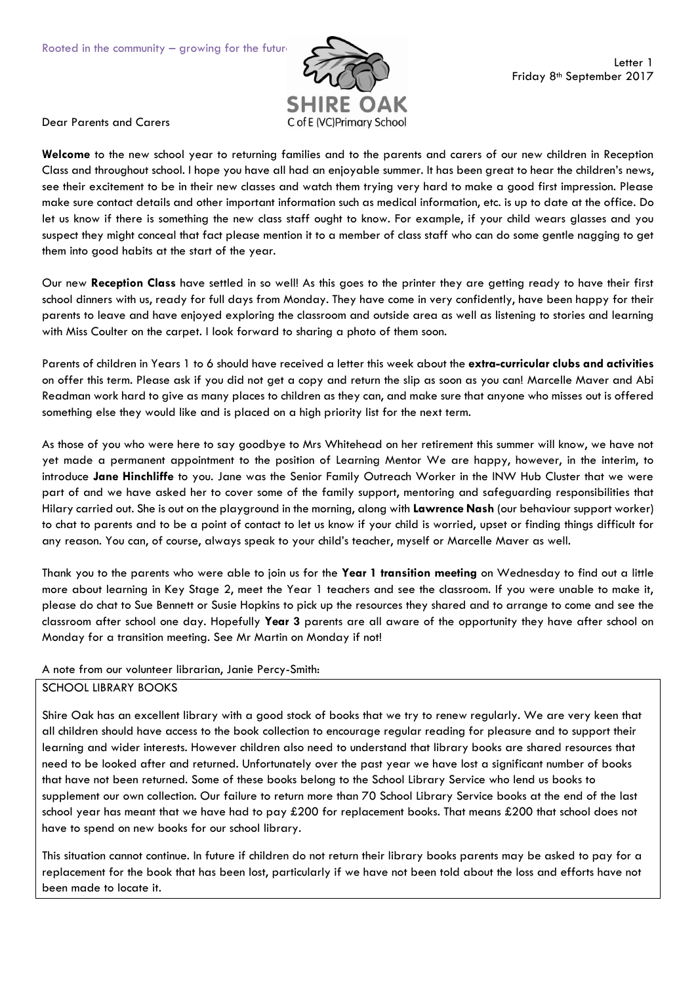

Dear Parents and Carers

**Welcome** to the new school year to returning families and to the parents and carers of our new children in Reception Class and throughout school. I hope you have all had an enjoyable summer. It has been great to hear the children's news, see their excitement to be in their new classes and watch them trying very hard to make a good first impression. Please make sure contact details and other important information such as medical information, etc. is up to date at the office. Do let us know if there is something the new class staff ought to know. For example, if your child wears glasses and you suspect they might conceal that fact please mention it to a member of class staff who can do some gentle nagging to get them into good habits at the start of the year.

Our new **Reception Class** have settled in so well! As this goes to the printer they are getting ready to have their first school dinners with us, ready for full days from Monday. They have come in very confidently, have been happy for their parents to leave and have enjoyed exploring the classroom and outside area as well as listening to stories and learning with Miss Coulter on the carpet. I look forward to sharing a photo of them soon.

Parents of children in Years 1 to 6 should have received a letter this week about the **extra-curricular clubs and activities** on offer this term. Please ask if you did not get a copy and return the slip as soon as you can! Marcelle Maver and Abi Readman work hard to give as many places to children as they can, and make sure that anyone who misses out is offered something else they would like and is placed on a high priority list for the next term.

As those of you who were here to say goodbye to Mrs Whitehead on her retirement this summer will know, we have not yet made a permanent appointment to the position of Learning Mentor We are happy, however, in the interim, to introduce **Jane Hinchliffe** to you. Jane was the Senior Family Outreach Worker in the INW Hub Cluster that we were part of and we have asked her to cover some of the family support, mentoring and safeguarding responsibilities that Hilary carried out. She is out on the playground in the morning, along with **Lawrence Nash** (our behaviour support worker) to chat to parents and to be a point of contact to let us know if your child is worried, upset or finding things difficult for any reason. You can, of course, always speak to your child's teacher, myself or Marcelle Maver as well.

Thank you to the parents who were able to join us for the **Year 1 transition meeting** on Wednesday to find out a little more about learning in Key Stage 2, meet the Year 1 teachers and see the classroom. If you were unable to make it, please do chat to Sue Bennett or Susie Hopkins to pick up the resources they shared and to arrange to come and see the classroom after school one day. Hopefully **Year 3** parents are all aware of the opportunity they have after school on Monday for a transition meeting. See Mr Martin on Monday if not!

A note from our volunteer librarian, Janie Percy-Smith:

## SCHOOL LIBRARY BOOKS

Shire Oak has an excellent library with a good stock of books that we try to renew regularly. We are very keen that all children should have access to the book collection to encourage regular reading for pleasure and to support their learning and wider interests. However children also need to understand that library books are shared resources that need to be looked after and returned. Unfortunately over the past year we have lost a significant number of books that have not been returned. Some of these books belong to the School Library Service who lend us books to supplement our own collection. Our failure to return more than 70 School Library Service books at the end of the last school year has meant that we have had to pay £200 for replacement books. That means £200 that school does not have to spend on new books for our school library.

This situation cannot continue. In future if children do not return their library books parents may be asked to pay for a replacement for the book that has been lost, particularly if we have not been told about the loss and efforts have not been made to locate it.